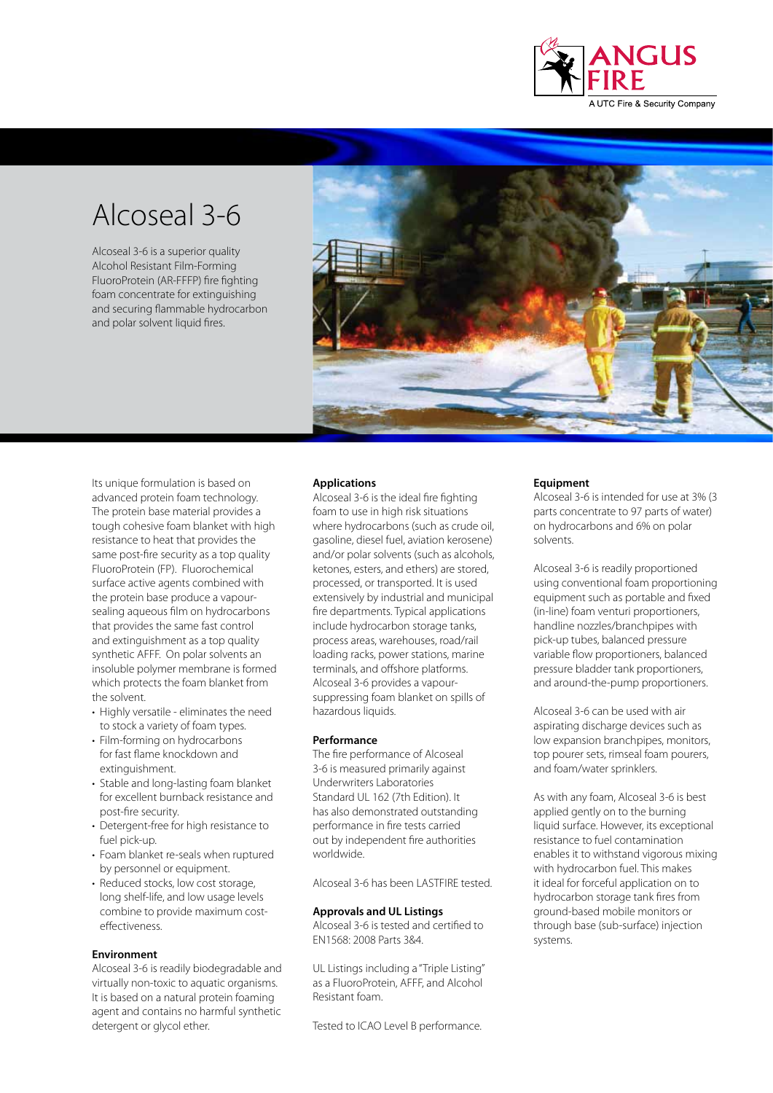

# Alcoseal 3-6

Alcoseal 3-6 is a superior quality Alcohol Resistant Film-Forming FluoroProtein (AR-FFFP) fire fighting foam concentrate for extinguishing and securing flammable hydrocarbon and polar solvent liquid fires.



Its unique formulation is based on advanced protein foam technology. The protein base material provides a tough cohesive foam blanket with high resistance to heat that provides the same post-fire security as a top quality FluoroProtein (FP). Fluorochemical surface active agents combined with the protein base produce a vapoursealing aqueous film on hydrocarbons that provides the same fast control and extinguishment as a top quality synthetic AFFF. On polar solvents an insoluble polymer membrane is formed which protects the foam blanket from the solvent.

- Highly versatile eliminates the need to stock a variety of foam types.
- Film-forming on hydrocarbons for fast flame knockdown and extinguishment.
- Stable and long-lasting foam blanket for excellent burnback resistance and post-fire security.
- Detergent-free for high resistance to fuel pick-up.
- Foam blanket re-seals when ruptured by personnel or equipment.
- Reduced stocks, low cost storage, long shelf-life, and low usage levels combine to provide maximum costeffectiveness.

# **Environment**

Alcoseal 3-6 is readily biodegradable and virtually non-toxic to aquatic organisms. It is based on a natural protein foaming agent and contains no harmful synthetic detergent or glycol ether.

# **Applications**

Alcoseal 3-6 is the ideal fire fighting foam to use in high risk situations where hydrocarbons (such as crude oil, gasoline, diesel fuel, aviation kerosene) and/or polar solvents (such as alcohols, ketones, esters, and ethers) are stored, processed, or transported. It is used extensively by industrial and municipal fire departments. Typical applications include hydrocarbon storage tanks, process areas, warehouses, road/rail loading racks, power stations, marine terminals, and offshore platforms. Alcoseal 3-6 provides a vapoursuppressing foam blanket on spills of hazardous liquids.

## **Performance**

The fire performance of Alcoseal 3-6 is measured primarily against Underwriters Laboratories Standard UL 162 (7th Edition). It has also demonstrated outstanding performance in fire tests carried out by independent fire authorities worldwide.

Alcoseal 3-6 has been LASTFIRE tested.

#### **Approvals and UL Listings**

Alcoseal 3-6 is tested and certified to EN1568: 2008 Parts 3&4.

UL Listings including a "Triple Listing" as a FluoroProtein, AFFF, and Alcohol Resistant foam.

Tested to ICAO Level B performance.

#### **Equipment**

Alcoseal 3-6 is intended for use at 3% (3 parts concentrate to 97 parts of water) on hydrocarbons and 6% on polar solvents.

Alcoseal 3-6 is readily proportioned using conventional foam proportioning equipment such as portable and fixed (in-line) foam venturi proportioners, handline nozzles/branchpipes with pick-up tubes, balanced pressure variable flow proportioners, balanced pressure bladder tank proportioners, and around-the-pump proportioners.

Alcoseal 3-6 can be used with air aspirating discharge devices such as low expansion branchpipes, monitors, top pourer sets, rimseal foam pourers, and foam/water sprinklers.

As with any foam, Alcoseal 3-6 is best applied gently on to the burning liquid surface. However, its exceptional resistance to fuel contamination enables it to withstand vigorous mixing with hydrocarbon fuel. This makes it ideal for forceful application on to hydrocarbon storage tank fires from ground-based mobile monitors or through base (sub-surface) injection systems.